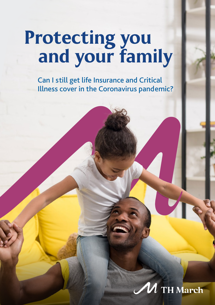## Protecting you and your family

Can I still get life Insurance and Critical Illness cover in the Coronavirus pandemic?